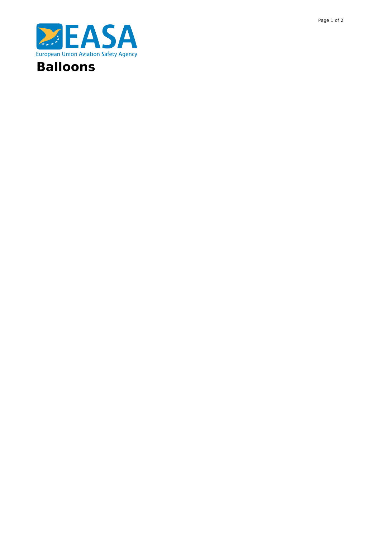